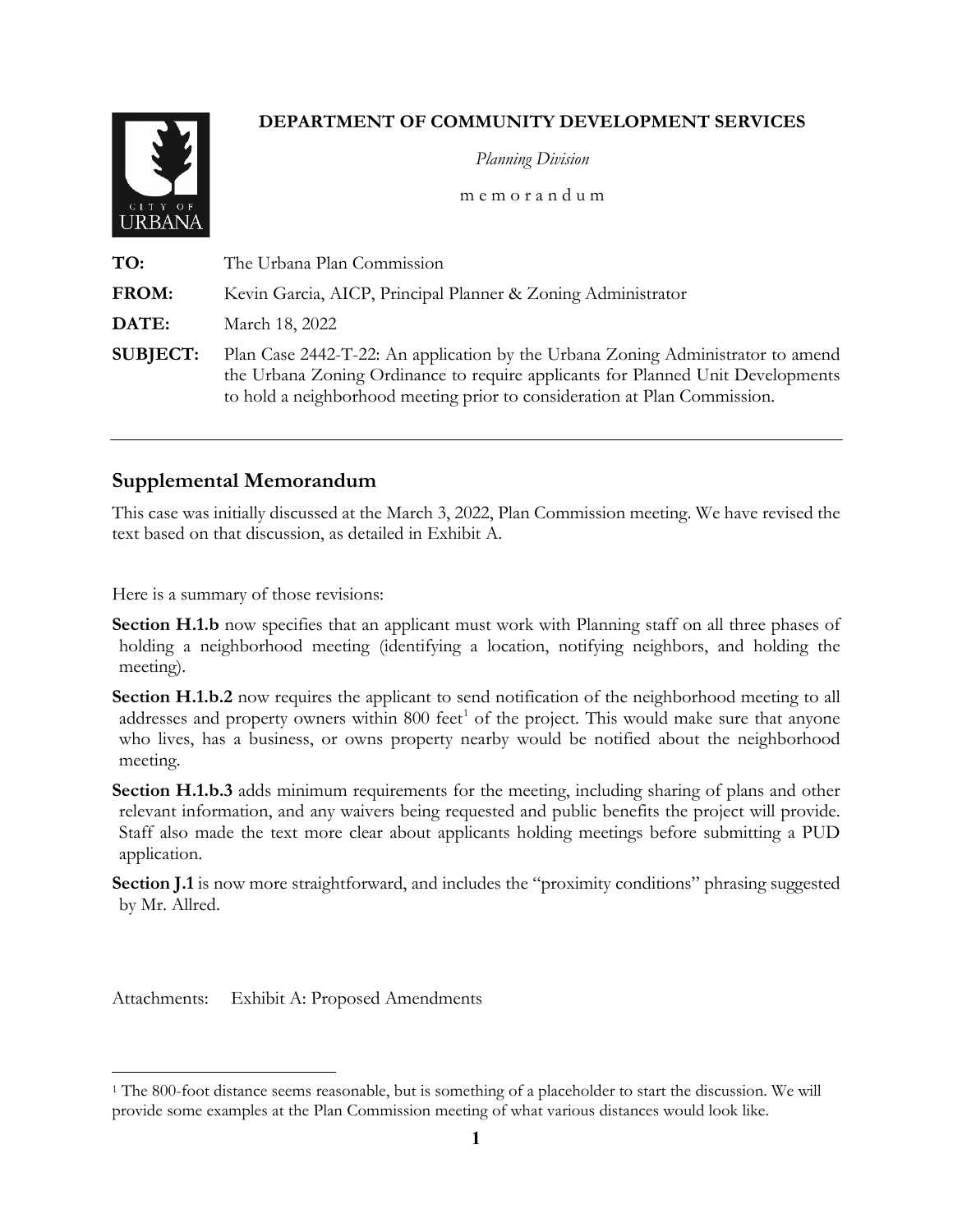## **DEPARTMENT OF COMMUNITY DEVELOPMENT SERVICES**



*Planning Division*

m e m o r a n d u m

**TO:** The Urbana Plan Commission **FROM:** Kevin Garcia, AICP, Principal Planner & Zoning Administrator **DATE:** March 18, 2022 **SUBJECT:** Plan Case 2442-T-22: An application by the Urbana Zoning Administrator to amend the Urbana Zoning Ordinance to require applicants for Planned Unit Developments to hold a neighborhood meeting prior to consideration at Plan Commission.

## **Supplemental Memorandum**

This case was initially discussed at the March 3, 2022, Plan Commission meeting. We have revised the text based on that discussion, as detailed in Exhibit A.

Here is a summary of those revisions:

- **Section H.1.b** now specifies that an applicant must work with Planning staff on all three phases of holding a neighborhood meeting (identifying a location, notifying neighbors, and holding the meeting).
- **Section H.1.b.2** now requires the applicant to send notification of the neighborhood meeting to all addresses and property owners within 800 feet<sup>[1](#page-0-0)</sup> of the project. This would make sure that anyone who lives, has a business, or owns property nearby would be notified about the neighborhood meeting.
- **Section H.1.b.3** adds minimum requirements for the meeting, including sharing of plans and other relevant information, and any waivers being requested and public benefits the project will provide. Staff also made the text more clear about applicants holding meetings before submitting a PUD application.
- **Section J.1** is now more straightforward, and includes the "proximity conditions" phrasing suggested by Mr. Allred.

Attachments: Exhibit A: Proposed Amendments

<span id="page-0-0"></span> <sup>1</sup> The 800-foot distance seems reasonable, but is something of a placeholder to start the discussion. We will provide some examples at the Plan Commission meeting of what various distances would look like.